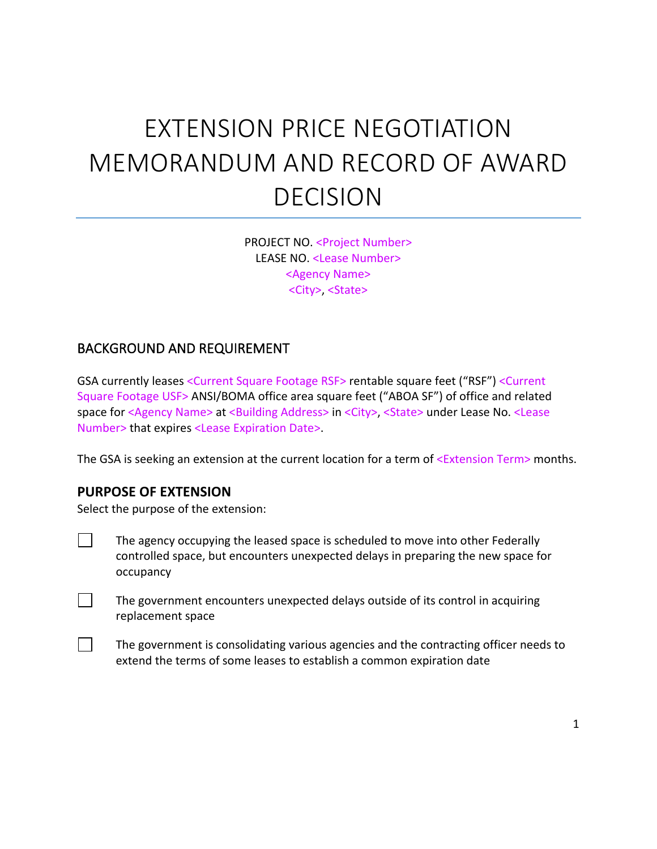# EXTENSION PRICE NEGOTIATION MEMORANDUM AND RECORD OF AWARD DECISION

PROJECT NO. <Project Number> LEASE NO. <Lease Number> <Agency Name> <City>, <State>

#### BACKGROUND AND REQUIREMENT

GSA currently leases <Current Square Footage RSF> rentable square feet ("RSF") <Current Square Footage USF> ANSI/BOMA office area square feet ("ABOA SF") of office and related space for <Agency Name> at <Building Address> in <City>, <State> under Lease No. <Lease Number> that expires <Lease Expiration Date>.

The GSA is seeking an extension at the current location for a term of <Extension Term> months.

#### **PURPOSE OF EXTENSION**

 $\mathbf{1}$ 

 $\Box$ 

 $\Box$ 

Select the purpose of the extension:

- The agency occupying the leased space is scheduled to move into other Federally controlled space, but encounters unexpected delays in preparing the new space for occupancy
	- The government encounters unexpected delays outside of its control in acquiring replacement space
	- The government is consolidating various agencies and the contracting officer needs to extend the terms of some leases to establish a common expiration date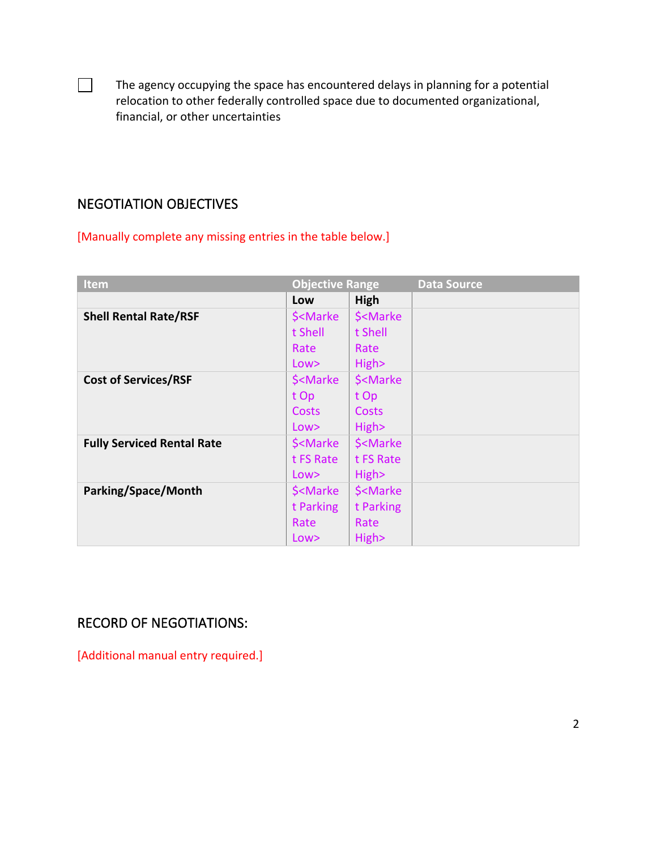The agency occupying the space has encountered delays in planning for a potential relocation to other federally controlled space due to documented organizational, financial, or other uncertainties

## NEGOTIATION OBJECTIVES

 $\Box$ 

[Manually complete any missing entries in the table below.]

| <b>Item</b>                       | <b>Objective Range</b>                                                |                                     | <b>Data Source</b> |
|-----------------------------------|-----------------------------------------------------------------------|-------------------------------------|--------------------|
|                                   | Low                                                                   | High                                |                    |
| <b>Shell Rental Rate/RSF</b>      | \$ <marke< th=""><th>\$<marke< th=""><th></th></marke<></th></marke<> | \$ <marke< th=""><th></th></marke<> |                    |
|                                   | t Shell                                                               | t Shell                             |                    |
|                                   | Rate                                                                  | Rate                                |                    |
|                                   | Low                                                                   | High>                               |                    |
| <b>Cost of Services/RSF</b>       | \$ <marke< th=""><th>\$<marke< th=""><th></th></marke<></th></marke<> | \$ <marke< th=""><th></th></marke<> |                    |
|                                   | t Op                                                                  | t Op                                |                    |
|                                   | Costs                                                                 | <b>Costs</b>                        |                    |
|                                   | Low                                                                   | High>                               |                    |
| <b>Fully Serviced Rental Rate</b> | \$ <marke< th=""><th>\$<marke< th=""><th></th></marke<></th></marke<> | \$ <marke< th=""><th></th></marke<> |                    |
|                                   | t FS Rate                                                             | t FS Rate                           |                    |
|                                   | Low                                                                   | High>                               |                    |
| Parking/Space/Month               | \$ <marke< th=""><th>\$<marke< th=""><th></th></marke<></th></marke<> | \$ <marke< th=""><th></th></marke<> |                    |
|                                   | t Parking                                                             | t Parking                           |                    |
|                                   | Rate                                                                  | Rate                                |                    |
|                                   | Low>                                                                  | High>                               |                    |

# RECORD OF NEGOTIATIONS:

[Additional manual entry required.]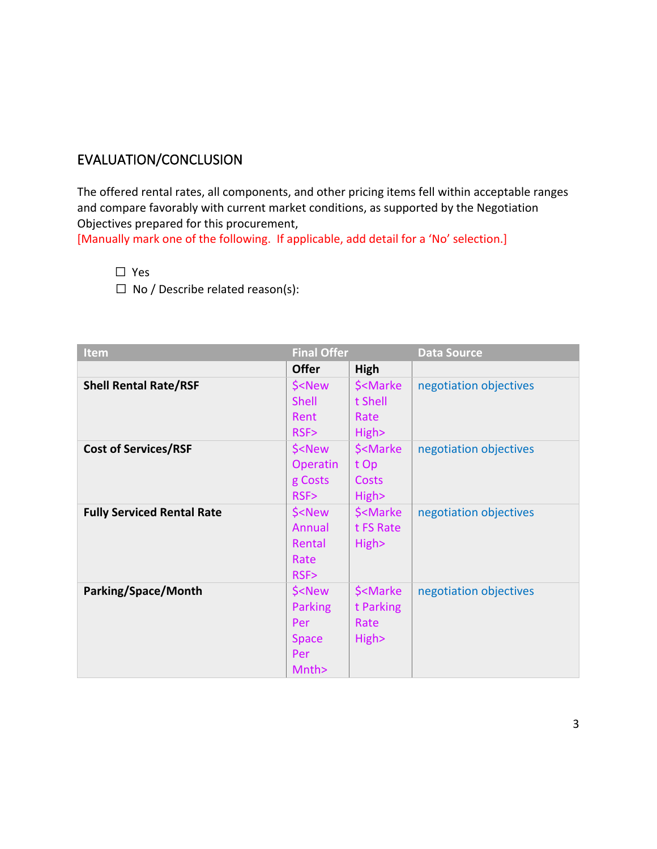### EVALUATION/CONCLUSION

The offered rental rates, all components, and other pricing items fell within acceptable ranges and compare favorably with current market conditions, as supported by the Negotiation Objectives prepared for this procurement,

[Manually mark one of the following. If applicable, add detail for a 'No' selection.]

☐ Yes

 $\Box$  No / Describe related reason(s):

| Item                              | <b>Final Offer</b>                                                                      |                                                           | <b>Data Source</b>     |
|-----------------------------------|-----------------------------------------------------------------------------------------|-----------------------------------------------------------|------------------------|
|                                   | <b>Offer</b>                                                                            | High                                                      |                        |
| <b>Shell Rental Rate/RSF</b>      | \$ <new< th=""><th>\$<marke< th=""><th>negotiation objectives</th></marke<></th></new<> | \$ <marke< th=""><th>negotiation objectives</th></marke<> | negotiation objectives |
|                                   | <b>Shell</b>                                                                            | t Shell                                                   |                        |
|                                   | Rent                                                                                    | Rate                                                      |                        |
|                                   | RSF                                                                                     | High>                                                     |                        |
| <b>Cost of Services/RSF</b>       | \$ <new< th=""><th>\$<marke< th=""><th>negotiation objectives</th></marke<></th></new<> | \$ <marke< th=""><th>negotiation objectives</th></marke<> | negotiation objectives |
|                                   | Operatin                                                                                | t Op                                                      |                        |
|                                   | g Costs                                                                                 | <b>Costs</b>                                              |                        |
|                                   | RSF>                                                                                    | High>                                                     |                        |
| <b>Fully Serviced Rental Rate</b> | \$ <new< th=""><th>\$<marke< th=""><th>negotiation objectives</th></marke<></th></new<> | \$ <marke< th=""><th>negotiation objectives</th></marke<> | negotiation objectives |
|                                   | Annual                                                                                  | t FS Rate                                                 |                        |
|                                   | Rental                                                                                  | High>                                                     |                        |
|                                   | Rate                                                                                    |                                                           |                        |
|                                   | RSF>                                                                                    |                                                           |                        |
| Parking/Space/Month               | \$ <new< th=""><th>\$<marke< th=""><th>negotiation objectives</th></marke<></th></new<> | \$ <marke< th=""><th>negotiation objectives</th></marke<> | negotiation objectives |
|                                   | Parking                                                                                 | t Parking                                                 |                        |
|                                   | Per                                                                                     | Rate                                                      |                        |
|                                   | <b>Space</b>                                                                            | High>                                                     |                        |
|                                   | Per                                                                                     |                                                           |                        |
|                                   | Mnth>                                                                                   |                                                           |                        |